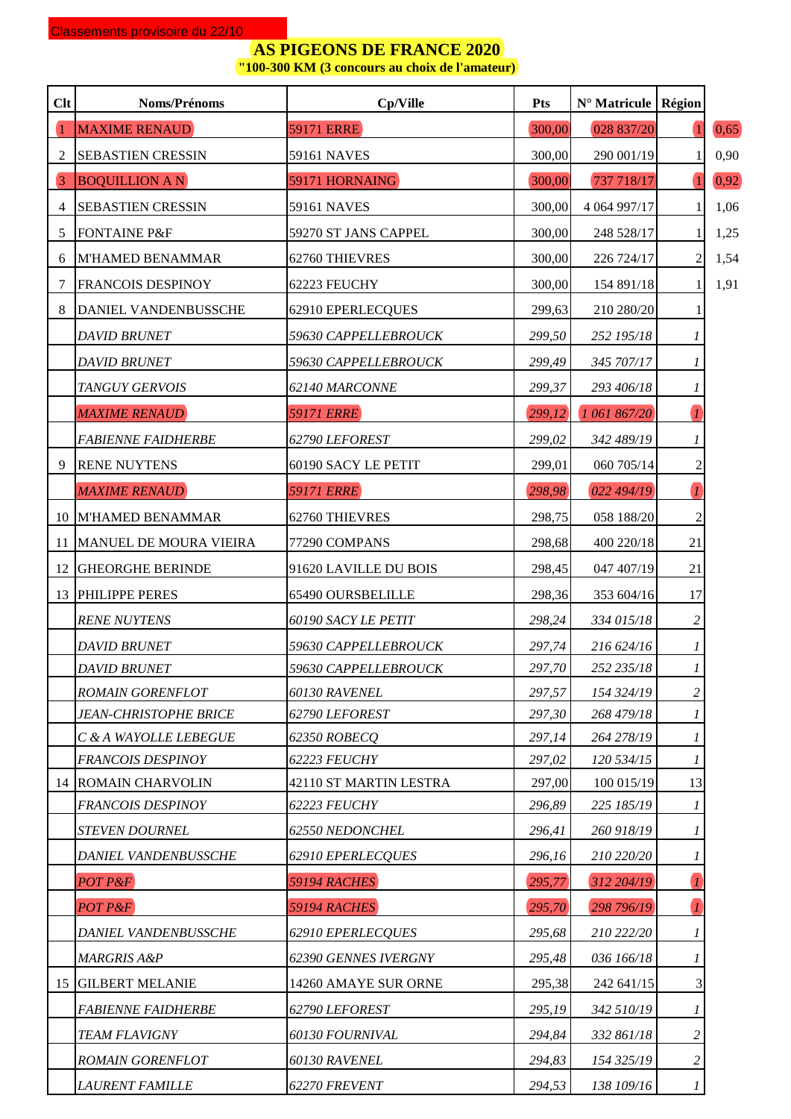**"100-300 KM (3 concours au choix de l'amateur)**

| Clt            | Noms/Prénoms                        | Cp/Ville               | Pts    | $N^{\circ}$ Matricule   Région |                  |         |
|----------------|-------------------------------------|------------------------|--------|--------------------------------|------------------|---------|
|                | <b>MAXIME RENAUD</b>                | <b>59171 ERRE</b>      | 300,00 | 028 837/20                     |                  | (0, 65) |
| 2              | <b>SEBASTIEN CRESSIN</b>            | <b>59161 NAVES</b>     | 300,00 | 290 001/19                     |                  | 0,90    |
| $\overline{3}$ | <b>BOQUILLION A N</b>               | 59171 HORNAING         | 300,00 | 737 718/17                     |                  | 0,92    |
| 4              | <b>SEBASTIEN CRESSIN</b>            | <b>59161 NAVES</b>     | 300,00 | 4 064 997/17                   |                  | 1,06    |
| 5              | <b>FONTAINE P&amp;F</b>             | 59270 ST JANS CAPPEL   | 300,00 | 248 528/17                     |                  | 1,25    |
| 6              | <b>M'HAMED BENAMMAR</b>             | 62760 THIEVRES         | 300,00 | 226 724/17                     | 2                | 1,54    |
| 7              | <b>FRANCOIS DESPINOY</b>            | 62223 FEUCHY           | 300,00 | 154 891/18                     |                  | 1,91    |
| 8              | DANIEL VANDENBUSSCHE                | 62910 EPERLECQUES      | 299,63 | 210 280/20                     |                  |         |
|                | <b>DAVID BRUNET</b>                 | 59630 CAPPELLEBROUCK   | 299,50 | 252 195/18                     | 1                |         |
|                | <b>DAVID BRUNET</b>                 | 59630 CAPPELLEBROUCK   | 299,49 | 345 707/17                     | 1                |         |
|                | TANGUY GERVOIS                      | 62140 MARCONNE         | 299,37 | 293 406/18                     | 1                |         |
|                | <b>MAXIME RENAUD</b>                | <b>59171 ERRE</b>      | 299,12 | 1 061 867/20                   | $\overline{I}$   |         |
|                | <b>FABIENNE FAIDHERBE</b>           | 62790 LEFOREST         | 299,02 | 342 489/19                     | 1                |         |
| 9              | <b>RENE NUYTENS</b>                 | 60190 SACY LE PETIT    | 299,01 | 060 705/14                     | $\overline{c}$   |         |
|                | <b>MAXIME RENAUD</b>                | <b>59171 ERRE</b>      | 298,98 | 022 494/19                     | $\boldsymbol{l}$ |         |
|                | 10 M'HAMED BENAMMAR                 | 62760 THIEVRES         | 298,75 | 058 188/20                     | $\overline{2}$   |         |
| 11             | MANUEL DE MOURA VIEIRA              | 77290 COMPANS          | 298,68 | 400 220/18                     | 21               |         |
| 12             | <b>GHEORGHE BERINDE</b>             | 91620 LAVILLE DU BOIS  | 298,45 | 047 407/19                     | 21               |         |
|                | 13 PHILIPPE PERES                   | 65490 OURSBELILLE      | 298,36 | 353 604/16                     | 17               |         |
|                | <b>RENE NUYTENS</b>                 | 60190 SACY LE PETIT    | 298,24 | 334 015/18                     | 2                |         |
|                | <b>DAVID BRUNET</b>                 | 59630 CAPPELLEBROUCK   | 297,74 | 216 624/16                     | 1                |         |
|                | <b>DAVID BRUNET</b>                 | 59630 CAPPELLEBROUCK   | 297,70 | 252 235/18                     |                  |         |
|                | <b>ROMAIN GORENFLOT</b>             | 60130 RAVENEL          | 297,57 | 154 324/19                     | 2                |         |
|                | <i><b>JEAN-CHRISTOPHE BRICE</b></i> | 62790 LEFOREST         | 297,30 | 268 479/18                     | 1                |         |
|                | C & A WAYOLLE LEBEGUE               | 62350 ROBECQ           | 297,14 | 264 278/19                     | 1                |         |
|                | <b>FRANCOIS DESPINOY</b>            | 62223 FEUCHY           | 297,02 | 120 534/15                     | 1                |         |
|                | <b>14 ROMAIN CHARVOLIN</b>          | 42110 ST MARTIN LESTRA | 297,00 | 100 015/19                     | 13               |         |
|                | <b>FRANCOIS DESPINOY</b>            | 62223 FEUCHY           | 296,89 | 225 185/19                     |                  |         |
|                | <b>STEVEN DOURNEL</b>               | 62550 NEDONCHEL        | 296,41 | 260 918/19                     | 1                |         |
|                | <b>DANIEL VANDENBUSSCHE</b>         | 62910 EPERLECQUES      | 296,16 | 210 220/20                     | 1                |         |
|                | POT P&F                             | <b>59194 RACHES</b>    | 295,77 | 312 204/19                     | $\mathcal{I}$    |         |
|                | POT P&F                             | <b>59194 RACHES</b>    | 295,70 | 298 796/19                     | $\boldsymbol{l}$ |         |
|                | DANIEL VANDENBUSSCHE                | 62910 EPERLECQUES      | 295,68 | 210 222/20                     | 1                |         |
|                | MARGRIS A&P                         | 62390 GENNES IVERGNY   | 295,48 | 036 166/18                     | 1                |         |
|                | <b>15 GILBERT MELANIE</b>           | 14260 AMAYE SUR ORNE   | 295,38 | 242 641/15                     | 3                |         |
|                | <b>FABIENNE FAIDHERBE</b>           | 62790 LEFOREST         | 295,19 | 342 510/19                     | 1                |         |
|                | <b>TEAM FLAVIGNY</b>                | 60130 FOURNIVAL        | 294,84 | 332 861/18                     | 2                |         |
|                | <b>ROMAIN GORENFLOT</b>             | 60130 RAVENEL          | 294,83 | 154 325/19                     | 2                |         |
|                | <b>LAURENT FAMILLE</b>              | 62270 FREVENT          | 294,53 | 138 109/16                     | $\mathcal{I}$    |         |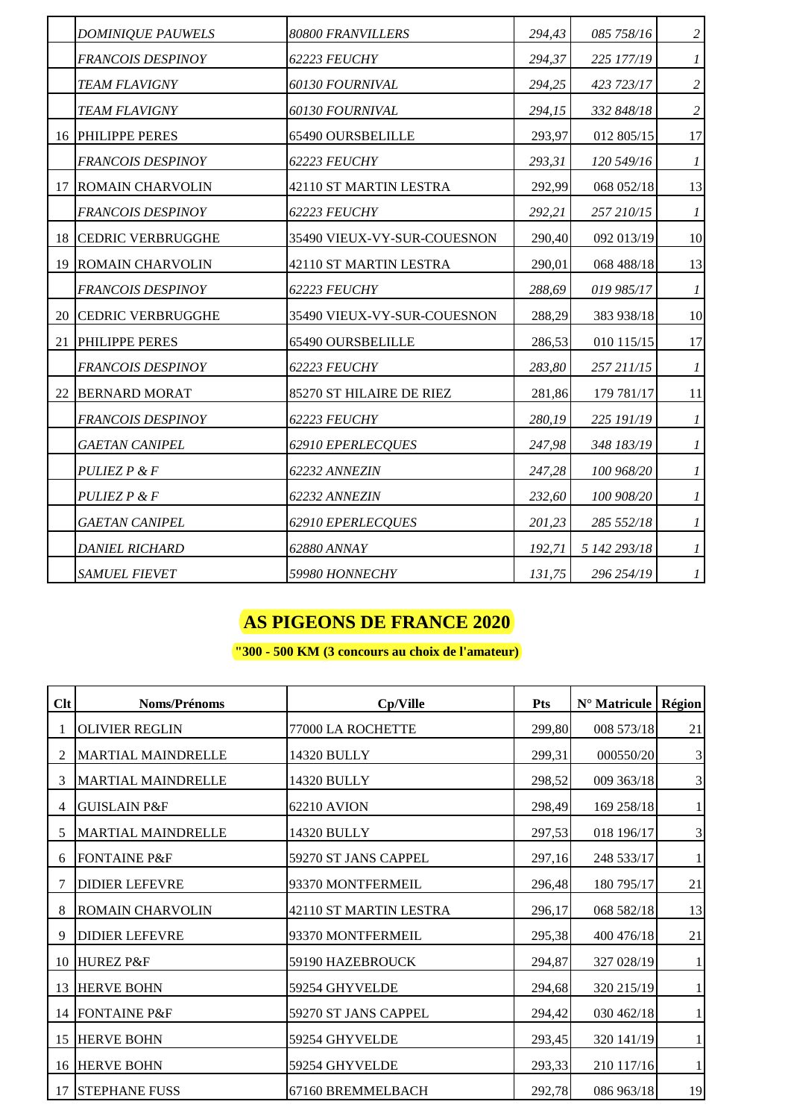|    | <b>DOMINIQUE PAUWELS</b>    | 80800 FRANVILLERS           | 294,43 | 085 758/16   | $\overline{c}$   |
|----|-----------------------------|-----------------------------|--------|--------------|------------------|
|    | FRANCOIS DESPINOY           | 62223 FEUCHY                | 294,37 | 225 177/19   | $\mathcal{I}$    |
|    | <b>TEAM FLAVIGNY</b>        | 60130 FOURNIVAL             | 294,25 | 423 723/17   | $\overline{c}$   |
|    | <b>TEAM FLAVIGNY</b>        | <b>60130 FOURNIVAL</b>      | 294,15 | 332 848/18   | $\overline{c}$   |
|    | 16 PHILIPPE PERES           | 65490 OURSBELILLE           | 293,97 | 012 805/15   | 17               |
|    | FRANCOIS DESPINOY           | 62223 FEUCHY                | 293,31 | 120 549/16   | $\boldsymbol{l}$ |
|    | 17 ROMAIN CHARVOLIN         | 42110 ST MARTIN LESTRA      | 292,99 | 068 052/18   | 13               |
|    | FRANCOIS DESPINOY           | 62223 FEUCHY                | 292,21 | 257 210/15   | $\boldsymbol{l}$ |
|    | <b>18 CEDRIC VERBRUGGHE</b> | 35490 VIEUX-VY-SUR-COUESNON | 290,40 | 092 013/19   | 10               |
|    | 19 ROMAIN CHARVOLIN         | 42110 ST MARTIN LESTRA      | 290,01 | 068 488/18   | 13               |
|    | FRANCOIS DESPINOY           | 62223 FEUCHY                | 288,69 | 019 985/17   | $\boldsymbol{l}$ |
|    | 20 CEDRIC VERBRUGGHE        | 35490 VIEUX-VY-SUR-COUESNON | 288,29 | 383 938/18   | 10               |
| 21 | PHILIPPE PERES              | 65490 OURSBELILLE           | 286,53 | 010 115/15   | 17               |
|    | <b>FRANCOIS DESPINOY</b>    | 62223 FEUCHY                | 283,80 | 257 211/15   | $\boldsymbol{l}$ |
|    | 22 BERNARD MORAT            | 85270 ST HILAIRE DE RIEZ    | 281,86 | 179 781/17   | 11               |
|    | FRANCOIS DESPINOY           | 62223 FEUCHY                | 280,19 | 225 191/19   | $\boldsymbol{l}$ |
|    | <b>GAETAN CANIPEL</b>       | 62910 EPERLECQUES           | 247,98 | 348 183/19   | $\mathcal{I}$    |
|    | PULIEZ P & F                | 62232 ANNEZIN               | 247,28 | 100 968/20   | $\mathfrak{1}$   |
|    | PULIEZ P & F                | 62232 ANNEZIN               | 232,60 | 100 908/20   | $\mathcal{I}$    |
|    | <b>GAETAN CANIPEL</b>       | 62910 EPERLECQUES           | 201,23 | 285 552/18   | $\mathcal{I}$    |
|    | <b>DANIEL RICHARD</b>       | 62880 ANNAY                 | 192,71 | 5 142 293/18 | $\boldsymbol{l}$ |
|    | <i>SAMUEL FIEVET</i>        | 59980 HONNECHY              | 131,75 | 296 254/19   | $\boldsymbol{l}$ |

**"300 - 500 KM (3 concours au choix de l'amateur)**

| $Cl$ t | Noms/Prénoms              | Cp/Ville               | <b>Pts</b> | $N^{\circ}$ Matricule | Région |
|--------|---------------------------|------------------------|------------|-----------------------|--------|
|        | <b>OLIVIER REGLIN</b>     | 77000 LA ROCHETTE      | 299,80     | 008 573/18            | 21     |
|        | <b>MARTIAL MAINDRELLE</b> | 14320 BULLY            | 299,31     | 000550/20             | 3      |
|        | <b>MARTIAL MAINDRELLE</b> | 14320 BULLY            | 298,52     | 009 363/18            | 3      |
| 4      | <b>GUISLAIN P&amp;F</b>   | 62210 AVION            | 298,49     | 169 258/18            |        |
| 5      | <b>MARTIAL MAINDRELLE</b> | 14320 BULLY            | 297,53     | 018 196/17            | 3      |
| 6      | <b>FONTAINE P&amp;F</b>   | 59270 ST JANS CAPPEL   | 297,16     | 248 533/17            |        |
|        | <b>DIDIER LEFEVRE</b>     | 93370 MONTFERMEIL      | 296,48     | 180 795/17            | 21     |
| 8      | <b>ROMAIN CHARVOLIN</b>   | 42110 ST MARTIN LESTRA | 296,17     | 068 582/18            | 13     |
| 9      | <b>DIDIER LEFEVRE</b>     | 93370 MONTFERMEIL      | 295,38     | 400 476/18            | 21     |
| 10     | HUREZ P&F                 | 59190 HAZEBROUCK       | 294,87     | 327 028/19            |        |
| 13     | <b>HERVE BOHN</b>         | 59254 GHYVELDE         | 294,68     | 320 215/19            |        |
| 14     | <b>FONTAINE P&amp;F</b>   | 59270 ST JANS CAPPEL   | 294,42     | 030 462/18            |        |
| 15     | <b>HERVE BOHN</b>         | 59254 GHYVELDE         | 293,45     | 320 141/19            |        |
| 16     | <b>HERVE BOHN</b>         | 59254 GHYVELDE         | 293,33     | 210 117/16            |        |
| 17     | <b>STEPHANE FUSS</b>      | 67160 BREMMELBACH      | 292,78     | 086 963/18            | 19     |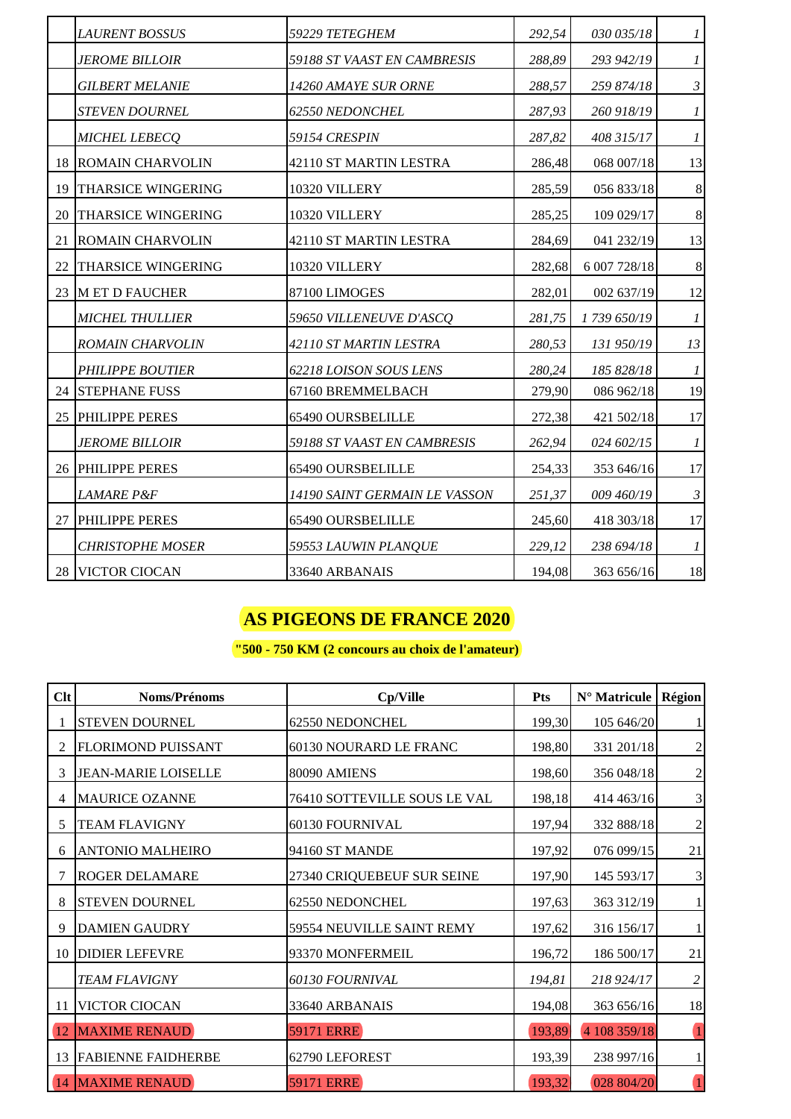|    | <b>LAURENT BOSSUS</b>         | 59229 TETEGHEM                | 292,54 | 030 035/18   | 1                |
|----|-------------------------------|-------------------------------|--------|--------------|------------------|
|    | <i>JEROME BILLOIR</i>         | 59188 ST VAAST EN CAMBRESIS   | 288,89 | 293 942/19   | $\mathcal{I}$    |
|    | <i><b>GILBERT MELANIE</b></i> | 14260 AMAYE SUR ORNE          | 288,57 | 259 874/18   | $\mathfrak{Z}$   |
|    | <b>STEVEN DOURNEL</b>         | 62550 NEDONCHEL               | 287,93 | 260 918/19   | $\boldsymbol{l}$ |
|    | MICHEL LEBECQ                 | 59154 CRESPIN                 | 287,82 | 408 315/17   | $\boldsymbol{l}$ |
|    | <b>18 ROMAIN CHARVOLIN</b>    | 42110 ST MARTIN LESTRA        | 286,48 | 068 007/18   | 13               |
| 19 | THARSICE WINGERING            | 10320 VILLERY                 | 285,59 | 056 833/18   | $\,8\,$          |
| 20 | <b>THARSICE WINGERING</b>     | 10320 VILLERY                 | 285,25 | 109 029/17   | $\,8\,$          |
| 21 | <b>ROMAIN CHARVOLIN</b>       | 42110 ST MARTIN LESTRA        | 284,69 | 041 232/19   | 13               |
| 22 | THARSICE WINGERING            | 10320 VILLERY                 | 282,68 | 6 007 728/18 | $8\,$            |
|    | 23 M ET D FAUCHER             | 87100 LIMOGES                 | 282,01 | 002 637/19   | 12               |
|    | <b>MICHEL THULLIER</b>        | 59650 VILLENEUVE D'ASCQ       | 281,75 | 1739 650/19  | $\boldsymbol{l}$ |
|    | <b>ROMAIN CHARVOLIN</b>       | 42110 ST MARTIN LESTRA        | 280,53 | 131 950/19   | 13               |
|    | <b>PHILIPPE BOUTIER</b>       | 62218 LOISON SOUS LENS        | 280,24 | 185 828/18   | $\boldsymbol{l}$ |
| 24 | <b>STEPHANE FUSS</b>          | 67160 BREMMELBACH             | 279,90 | 086 962/18   | 19               |
|    | 25 PHILIPPE PERES             | <b>65490 OURSBELILLE</b>      | 272,38 | 421 502/18   | 17               |
|    | <i>JEROME BILLOIR</i>         | 59188 ST VAAST EN CAMBRESIS   | 262,94 | 024 602/15   | $\boldsymbol{l}$ |
|    | 26 PHILIPPE PERES             | 65490 OURSBELILLE             | 254,33 | 353 646/16   | 17               |
|    | <b>LAMARE P&amp;F</b>         | 14190 SAINT GERMAIN LE VASSON | 251,37 | 009 460/19   | $\mathfrak{Z}$   |
| 27 | PHILIPPE PERES                | 65490 OURSBELILLE             | 245,60 | 418 303/18   | 17               |
|    | <b>CHRISTOPHE MOSER</b>       | 59553 LAUWIN PLANQUE          | 229,12 | 238 694/18   | $\boldsymbol{l}$ |
|    | 28 VICTOR CIOCAN              | 33640 ARBANAIS                | 194,08 | 363 656/16   | 18               |

### **"500 - 750 KM (2 concours au choix de l'amateur)**

| $Cl$ t            | <b>Noms/Prénoms</b>        | Cp/Ville                     | <b>Pts</b> | N° Matricule | Région         |
|-------------------|----------------------------|------------------------------|------------|--------------|----------------|
|                   | <b>STEVEN DOURNEL</b>      | 62550 NEDONCHEL              | 199,30     | 105 646/20   |                |
| 2                 | FLORIMOND PUISSANT         | 60130 NOURARD LE FRANC       | 198,80     | 331 201/18   | $\mathfrak{2}$ |
| 3                 | <b>JEAN-MARIE LOISELLE</b> | 80090 AMIENS                 | 198,60     | 356 048/18   | $\sqrt{2}$     |
|                   | <b>MAURICE OZANNE</b>      | 76410 SOTTEVILLE SOUS LE VAL | 198,18     | 414 463/16   | $\mathbf{3}$   |
| 5                 | <b>TEAM FLAVIGNY</b>       | 60130 FOURNIVAL              | 197,94     | 332 888/18   | $\sqrt{2}$     |
| 6                 | <b>ANTONIO MALHEIRO</b>    | 94160 ST MANDE               | 197,92     | 076 099/15   | 21             |
|                   | <b>ROGER DELAMARE</b>      | 27340 CRIQUEBEUF SUR SEINE   | 197,90     | 145 593/17   | $\mathfrak{Z}$ |
| 8                 | <b>STEVEN DOURNEL</b>      | 62550 NEDONCHEL              | 197,63     | 363 312/19   |                |
| 9                 | <b>DAMIEN GAUDRY</b>       | 59554 NEUVILLE SAINT REMY    | 197,62     | 316 156/17   |                |
|                   | 10 DIDIER LEFEVRE          | 93370 MONFERMEIL             | 196,72     | 186 500/17   | 21             |
|                   | <b>TEAM FLAVIGNY</b>       | 60130 FOURNIVAL              | 194,81     | 218 924/17   | $\overline{c}$ |
| 11                | <b>VICTOR CIOCAN</b>       | 33640 ARBANAIS               | 194,08     | 363 656/16   | 18             |
| $\left(12\right)$ | <b>MAXIME RENAUD</b>       | <b>59171 ERRE</b>            | 193,89     | 4 108 359/18 |                |
| 13                | <b>FABIENNE FAIDHERBE</b>  | 62790 LEFOREST               | 193,39     | 238 997/16   |                |
|                   | 14 MAXIME RENAUD           | <b>59171 ERRE</b>            | 193,32     | 028 804/20   |                |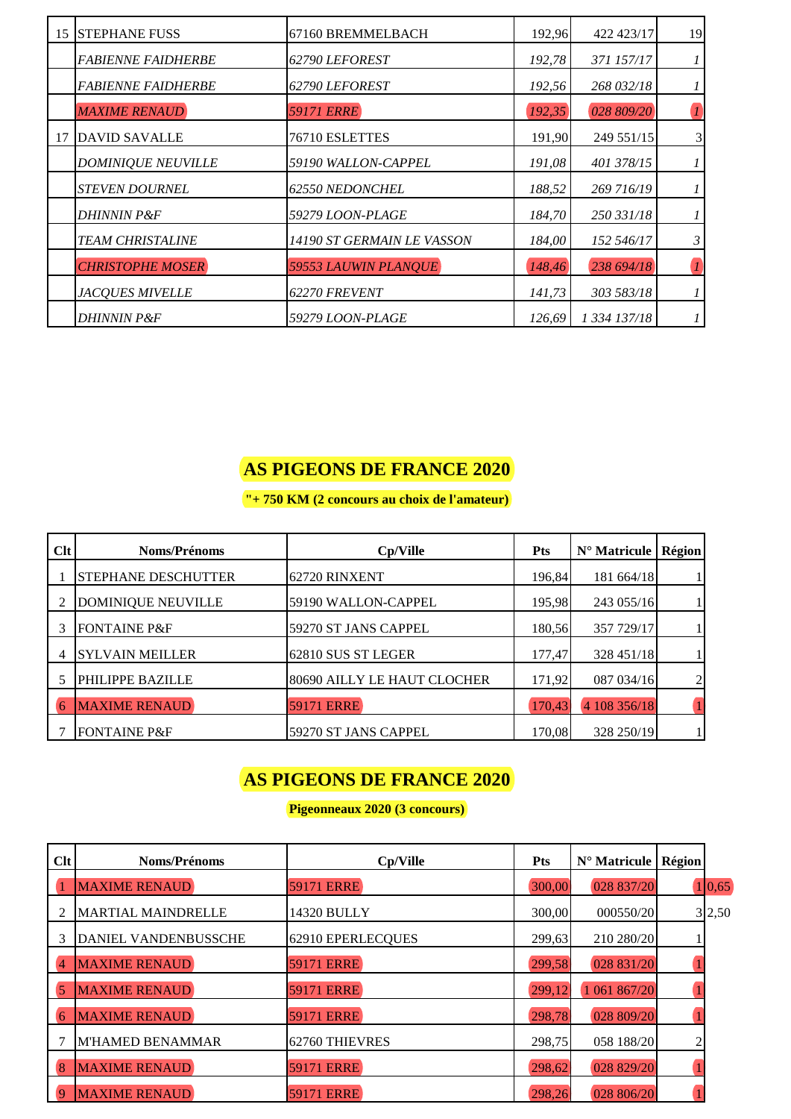| 15 STEPHANE FUSS          | 67160 BREMMELBACH              | 192,96 | 422 423/17   | 19               |
|---------------------------|--------------------------------|--------|--------------|------------------|
| <b>FABIENNE FAIDHERBE</b> | <b>62790 LEFOREST</b>          | 192,78 | 371 157/17   |                  |
| <i>FABIENNE FAIDHERBE</i> | <b>62790 LEFOREST</b>          | 192,56 | 268 032/18   |                  |
| <b>MAXIME RENAUD</b>      | <b>59171 ERRE</b>              | 192,35 | 028 809/20   | $\boldsymbol{l}$ |
| 17 DAVID SAVALLE          | 76710 ESLETTES                 | 191,90 | 249 551/15   | $\mathfrak{Z}$   |
| <b>DOMINIQUE NEUVILLE</b> | 59190 WALLON-CAPPEL            | 191,08 | 401 378/15   |                  |
| <b>STEVEN DOURNEL</b>     | <b>62550 NEDONCHEL</b>         | 188,52 | 269 716/19   |                  |
| <b>DHINNIN P&amp;F</b>    | 59279 LOON-PLAGE               | 184,70 | 250 331/18   |                  |
| <b>TEAM CHRISTALINE</b>   | 14190 ST GERMAIN LE VASSON     | 184.00 | 152 546/17   | 3                |
| <b>CHRISTOPHE MOSER</b>   | 59553 LAUWIN PLANQUE           | 148,46 | 238 694/18   |                  |
| <b>JACQUES MIVELLE</b>    | 62270 FREVENT                  | 141,73 | 303 583/18   |                  |
| <i>DHINNIN P&amp;F</i>    | <i><b>59279 LOON-PLAGE</b></i> | 126.69 | 1 334 137/18 |                  |

**"+ 750 KM (2 concours au choix de l'amateur)**

| Clt | <b>Noms/Prénoms</b>        | Cp/Ville                    | <b>Pts</b> | $N^{\circ}$ Matricule | Région |
|-----|----------------------------|-----------------------------|------------|-----------------------|--------|
|     | <b>STEPHANE DESCHUTTER</b> | 62720 RINXENT               | 196,84     | 181 664/18            |        |
|     | <b>DOMINIQUE NEUVILLE</b>  | 59190 WALLON-CAPPEL         | 195,98     | 243 055/16            |        |
|     | <b>FONTAINE P&amp;F</b>    | 59270 ST JANS CAPPEL        | 180,56     | 357 729/17            |        |
|     | <b>SYLVAIN MEILLER</b>     | 62810 SUS ST LEGER          | 177,47     | 328 451/18            |        |
|     | PHILIPPE BAZILLE           | 80690 AILLY LE HAUT CLOCHER | 171,92     | 087 034/16            |        |
|     | <b>MAXIME RENAUD</b>       | <b>59171 ERRE</b>           | 170,43     | 4 108 356/18          |        |
|     | <b>FONTAINE P&amp;F</b>    | 59270 ST JANS CAPPEL        | 170,08     | 328 250/19            |        |

## **AS PIGEONS DE FRANCE 2020**

**Pigeonneaux 2020 (3 concours)**

| Clt            | <b>Noms/Prénoms</b>         | Cp/Ville          | <b>Pts</b> | N° Matricule | Région |        |
|----------------|-----------------------------|-------------------|------------|--------------|--------|--------|
|                | <b>MAXIME RENAUD</b>        | <b>59171 ERRE</b> | 300,00     | 028 837/20   |        | 1 0,65 |
|                | <b>MARTIAL MAINDRELLE</b>   | 14320 BULLY       | 300,00     | 000550/20    |        | 3 2,50 |
|                | <b>DANIEL VANDENBUSSCHE</b> | 62910 EPERLECQUES | 299,63     | 210 280/20   |        |        |
| 4              | <b>MAXIME RENAUD</b>        | <b>59171 ERRE</b> | 299,58     | 028 831/20   |        |        |
| 5              | <b>MAXIME RENAUD</b>        | <b>59171 ERRE</b> | 299,12     | 1 061 867/20 |        |        |
| 6              | <b>MAXIME RENAUD</b>        | <b>59171 ERRE</b> | 298,78     | 028 809/20   |        |        |
|                | M'HAMED BENAMMAR            | 62760 THIEVRES    | 298,75     | 058 188/20   |        |        |
| 8              | <b>MAXIME RENAUD</b>        | <b>59171 ERRE</b> | 298,62     | 028 829/20   |        |        |
| $\overline{9}$ | <b>MAXIME RENAUD</b>        | <b>59171 ERRE</b> | 298,26     | 028 806/20   |        |        |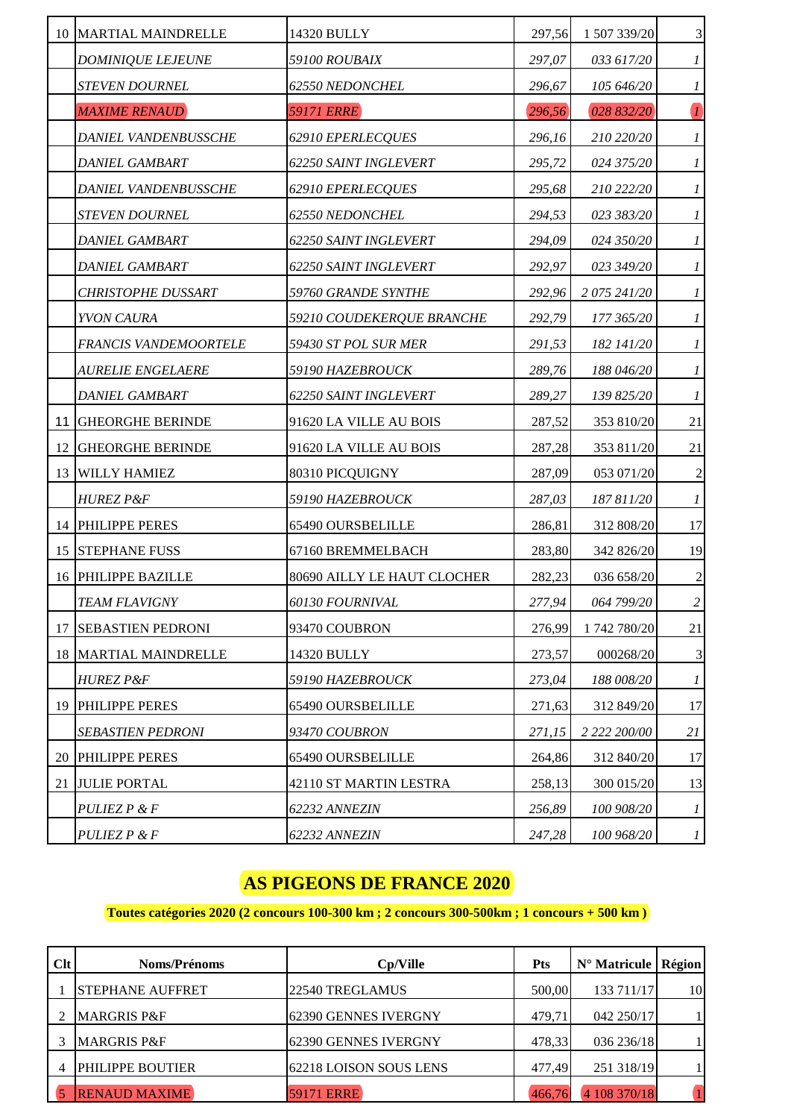|    | 10 MARTIAL MAINDRELLE        | 14320 BULLY                         | 297,56 | 1 507 339/20 | $\mathfrak 3$               |
|----|------------------------------|-------------------------------------|--------|--------------|-----------------------------|
|    | <b>DOMINIQUE LEJEUNE</b>     | 59100 ROUBAIX                       | 297,07 | 033 617/20   | $\mathcal{I}$               |
|    | <b>STEVEN DOURNEL</b>        | 62550 NEDONCHEL                     | 296,67 | 105 646/20   | $\boldsymbol{l}$            |
|    | <b>MAXIME RENAUD</b>         | <b>59171 ERRE</b>                   | 296,56 | 028 832/20   | $\overline{\mathbf{I}}$     |
|    | <i>DANIEL VANDENBUSSCHE</i>  | 62910 EPERLECQUES                   | 296,16 | 210 220/20   | $\mathcal{I}$               |
|    | <b>DANIEL GAMBART</b>        | 62250 SAINT INGLEVERT               | 295,72 | 024 375/20   | $\boldsymbol{l}$            |
|    | <b>DANIEL VANDENBUSSCHE</b>  | 62910 EPERLECQUES                   | 295,68 | 210 222/20   | $\mathfrak{1}$              |
|    | <b>STEVEN DOURNEL</b>        | 62550 NEDONCHEL                     | 294,53 | 023 383/20   | $\boldsymbol{l}$            |
|    | <b>DANIEL GAMBART</b>        | 62250 SAINT INGLEVERT               | 294,09 | 024 350/20   | $\boldsymbol{l}$            |
|    | DANIEL GAMBART               | <i><b>62250 SAINT INGLEVERT</b></i> | 292,97 | 023 349/20   | $\boldsymbol{l}$            |
|    | CHRISTOPHE DUSSART           | 59760 GRANDE SYNTHE                 | 292,96 | 2 075 241/20 | 1                           |
|    | YVON CAURA                   | 59210 COUDEKERQUE BRANCHE           | 292,79 | 177 365/20   | $\mathfrak{1}$              |
|    | <b>FRANCIS VANDEMOORTELE</b> | 59430 ST POL SUR MER                | 291,53 | 182 141/20   | $\boldsymbol{l}$            |
|    | <b>AURELIE ENGELAERE</b>     | 59190 HAZEBROUCK                    | 289,76 | 188 046/20   | $\boldsymbol{l}$            |
|    | <i><b>DANIEL GAMBART</b></i> | 62250 SAINT INGLEVERT               | 289,27 | 139 825/20   | $\boldsymbol{l}$            |
|    | 11 GHEORGHE BERINDE          | 91620 LA VILLE AU BOIS              | 287,52 | 353 810/20   | 21                          |
|    | 12 GHEORGHE BERINDE          | 91620 LA VILLE AU BOIS              | 287,28 | 353 811/20   | 21                          |
|    | 13 WILLY HAMIEZ              | 80310 PICQUIGNY                     | 287,09 | 053 071/20   | $\sqrt{2}$                  |
|    | <b>HUREZ P&amp;F</b>         | 59190 HAZEBROUCK                    | 287,03 | 187 811/20   | $\boldsymbol{l}$            |
|    | 14 PHILIPPE PERES            | 65490 OURSBELILLE                   | 286,81 | 312 808/20   | 17                          |
| 15 | <b>STEPHANE FUSS</b>         | 67160 BREMMELBACH                   | 283,80 | 342 826/20   | 19                          |
|    | 16 PHILIPPE BAZILLE          | 80690 AILLY LE HAUT CLOCHER         | 282,23 | 036 658/20   | $\sqrt{2}$                  |
|    | <b>TEAM FLAVIGNY</b>         | 60130 FOURNIVAL                     | 277,94 | 064 799/20   | $\overline{c}$              |
| 17 | <b>SEBASTIEN PEDRONI</b>     | 93470 COUBRON                       | 276,99 | 1 742 780/20 | 21                          |
|    | 18 MARTIAL MAINDRELLE        | 14320 BULLY                         | 273,57 | 000268/20    | $\ensuremath{\mathfrak{Z}}$ |
|    | <b>HUREZ P&amp;F</b>         | 59190 HAZEBROUCK                    | 273,04 | 188 008/20   | $\boldsymbol{l}$            |
|    | 19 PHILIPPE PERES            | 65490 OURSBELILLE                   | 271,63 | 312 849/20   | 17                          |
|    | <b>SEBASTIEN PEDRONI</b>     | 93470 COUBRON                       | 271,15 | 2 222 200/00 | 21                          |
|    | 20 PHILIPPE PERES            | 65490 OURSBELILLE                   | 264,86 | 312 840/20   | 17                          |
| 21 | <b>JULIE PORTAL</b>          | 42110 ST MARTIN LESTRA              | 258,13 | 300 015/20   | 13                          |
|    | PULIEZ P & F                 | 62232 ANNEZIN                       | 256,89 | 100 908/20   | $\boldsymbol{l}$            |
|    | PULIEZ P & F                 | <i>62232 ANNEZIN</i>                | 247,28 | 100 968/20   | $\boldsymbol{l}$            |

### **Toutes catégories 2020 (2 concours 100-300 km ; 2 concours 300-500km ; 1 concours + 500 km )**

| Clt | <b>Noms/Prénoms</b>     | Cp/Ville               | <b>Pts</b> | $N^{\circ}$ Matricule   Région |    |
|-----|-------------------------|------------------------|------------|--------------------------------|----|
|     | <b>STEPHANE AUFFRET</b> | 22540 TREGLAMUS        | 500,00     | 133 711/17                     | 10 |
|     | <b>MARGRIS P&amp;F</b>  | 62390 GENNES IVERGNY   | 479,71     | 042 250/17                     |    |
|     | <b>MARGRIS P&amp;F</b>  | 162390 GENNES IVERGNY  | 478,33     | 036 236/18                     |    |
|     | PHILIPPE BOUTIER        | 62218 LOISON SOUS LENS | 477,49     | 251 318/19                     |    |
|     | <b>RENAUD MAXIME</b>    | <b>59171 ERRE</b>      | 466.76     | 4 108 370/18                   |    |